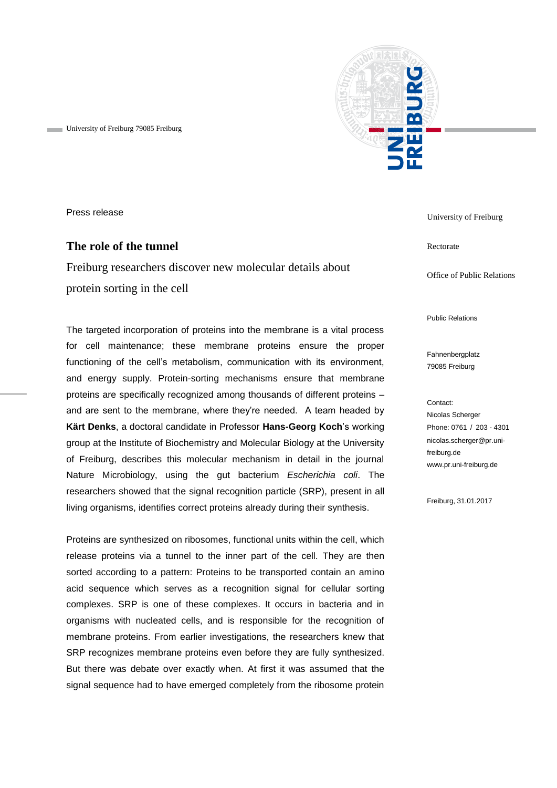University of Freiburg 79085 Freiburg



Press release

# **The role of the tunnel**

Freiburg researchers discover new molecular details about protein sorting in the cell

The targeted incorporation of proteins into the membrane is a vital process for cell maintenance; these membrane proteins ensure the proper functioning of the cell's metabolism, communication with its environment, and energy supply. Protein-sorting mechanisms ensure that membrane proteins are specifically recognized among thousands of different proteins – and are sent to the membrane, where they're needed. A team headed by **Kärt Denks**, a doctoral candidate in Professor **Hans-Georg Koch**'s working group at the Institute of Biochemistry and Molecular Biology at the University of Freiburg, describes this molecular mechanism in detail in the journal Nature Microbiology, using the gut bacterium *Escherichia coli*. The researchers showed that the signal recognition particle (SRP), present in all living organisms, identifies correct proteins already during their synthesis.

Proteins are synthesized on ribosomes, functional units within the cell, which release proteins via a tunnel to the inner part of the cell. They are then sorted according to a pattern: Proteins to be transported contain an amino acid sequence which serves as a recognition signal for cellular sorting complexes. SRP is one of these complexes. It occurs in bacteria and in organisms with nucleated cells, and is responsible for the recognition of membrane proteins. From earlier investigations, the researchers knew that SRP recognizes membrane proteins even before they are fully synthesized. But there was debate over exactly when. At first it was assumed that the signal sequence had to have emerged completely from the ribosome protein

University of Freiburg

Rectorate

Office of Public Relations

Public Relations

Fahnenbergplatz 79085 Freiburg

#### Contact:

Nicolas Scherger Phone: 0761 / 203 - 4301 nicolas.scherger@pr.unifreiburg.de www.pr.uni-freiburg.de

Freiburg, 31.01.2017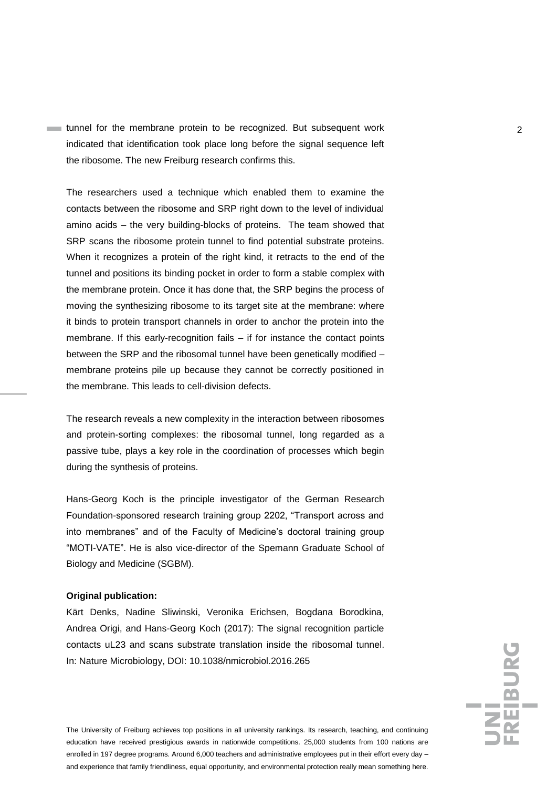tunnel for the membrane protein to be recognized. But subsequent work 2 indicated that identification took place long before the signal sequence left the ribosome. The new Freiburg research confirms this.

The researchers used a technique which enabled them to examine the contacts between the ribosome and SRP right down to the level of individual amino acids – the very building-blocks of proteins. The team showed that SRP scans the ribosome protein tunnel to find potential substrate proteins. When it recognizes a protein of the right kind, it retracts to the end of the tunnel and positions its binding pocket in order to form a stable complex with the membrane protein. Once it has done that, the SRP begins the process of moving the synthesizing ribosome to its target site at the membrane: where it binds to protein transport channels in order to anchor the protein into the membrane. If this early-recognition fails – if for instance the contact points between the SRP and the ribosomal tunnel have been genetically modified – membrane proteins pile up because they cannot be correctly positioned in the membrane. This leads to cell-division defects.

The research reveals a new complexity in the interaction between ribosomes and protein-sorting complexes: the ribosomal tunnel, long regarded as a passive tube, plays a key role in the coordination of processes which begin during the synthesis of proteins.

Hans-Georg Koch is the principle investigator of the German Research Foundation-sponsored research training group 2202, "Transport across and into membranes" and of the Faculty of Medicine's doctoral training group "MOTI-VATE". He is also vice-director of the Spemann Graduate School of Biology and Medicine (SGBM).

### **Original publication:**

Kärt Denks, Nadine Sliwinski, Veronika Erichsen, Bogdana Borodkina, Andrea Origi, and Hans-Georg Koch (2017): The signal recognition particle contacts uL23 and scans substrate translation inside the ribosomal tunnel. In: Nature Microbiology, DOI: 10.1038/nmicrobiol.2016.265

The University of Freiburg achieves top positions in all university rankings. Its research, teaching, and continuing education have received prestigious awards in nationwide competitions. 25,000 students from 100 nations are enrolled in 197 degree programs. Around 6,000 teachers and administrative employees put in their effort every day – and experience that family friendliness, equal opportunity, and environmental protection really mean something here.